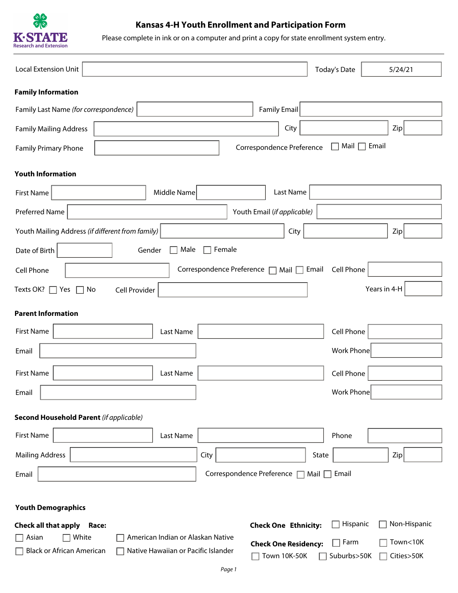

# **Kansas 4-H Youth Enrollment and Participation Form**

Please complete in ink or on a computer and print a copy for state enrollment system entry.

| Local Extension Unit                                                                                                                                                                 | <b>Today's Date</b>                   | 5/24/21                |
|--------------------------------------------------------------------------------------------------------------------------------------------------------------------------------------|---------------------------------------|------------------------|
| <b>Family Information</b>                                                                                                                                                            |                                       |                        |
| Family Last Name (for correspondence)<br><b>Family Email</b>                                                                                                                         |                                       |                        |
| City<br><b>Family Mailing Address</b>                                                                                                                                                |                                       | Zip                    |
| Correspondence Preference<br><b>Family Primary Phone</b>                                                                                                                             | Mail                                  | Email                  |
| <b>Youth Information</b>                                                                                                                                                             |                                       |                        |
| Last Name<br>Middle Name<br><b>First Name</b>                                                                                                                                        |                                       |                        |
| Preferred Name<br>Youth Email (if applicable)                                                                                                                                        |                                       |                        |
| Youth Mailing Address (if different from family)<br>City                                                                                                                             |                                       | Zip                    |
| Male<br>Female<br>Date of Birth<br>Gender                                                                                                                                            |                                       |                        |
| Correspondence Preference □ Mail □ Email<br>Cell Phone                                                                                                                               | Cell Phone                            |                        |
| Texts OK?<br>Cell Provider<br>Yes<br>No<br>$\mathbf{L}$                                                                                                                              |                                       | Years in 4-H           |
| <b>Parent Information</b>                                                                                                                                                            |                                       |                        |
| <b>First Name</b><br>Last Name                                                                                                                                                       | Cell Phone                            |                        |
| Email                                                                                                                                                                                | <b>Work Phone</b>                     |                        |
|                                                                                                                                                                                      |                                       |                        |
| <b>First Name</b><br>Last Name                                                                                                                                                       | Cell Phone                            |                        |
| Email                                                                                                                                                                                | <b>Work Phone</b>                     |                        |
| <b>Second Household Parent (if applicable)</b>                                                                                                                                       |                                       |                        |
| <b>First Name</b><br>Last Name                                                                                                                                                       | Phone                                 |                        |
| <b>Mailing Address</b><br>City                                                                                                                                                       | State                                 | Zip                    |
| Correspondence Preference<br>Email                                                                                                                                                   | Mail $\Box$ Email                     |                        |
|                                                                                                                                                                                      |                                       |                        |
| <b>Youth Demographics</b>                                                                                                                                                            |                                       |                        |
| <b>Check One Ethnicity:</b><br><b>Check all that apply</b><br>Race:                                                                                                                  | Hispanic                              | Non-Hispanic           |
| White<br>American Indian or Alaskan Native<br>Asian<br><b>Check One Residency:</b><br><b>Black or African American</b><br>Native Hawaiian or Pacific Islander<br><b>Town 10K-50K</b> | Farm<br>$\blacksquare$<br>Suburbs>50K | Town<10K<br>Cities>50K |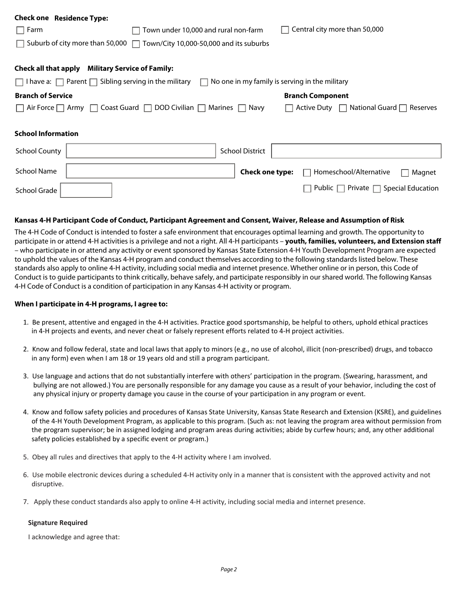| <b>Check one Residence Type:</b>                                                               |                                      |                        |                                                             |
|------------------------------------------------------------------------------------------------|--------------------------------------|------------------------|-------------------------------------------------------------|
| $\Box$ Farm                                                                                    | Town under 10,000 and rural non-farm |                        | Central city more than 50,000                               |
| Suburb of city more than 50,000 $\Box$ Town/City 10,000-50,000 and its suburbs                 |                                      |                        |                                                             |
| Check all that apply                                                                           | <b>Military Service of Family:</b>   |                        |                                                             |
| $\Box$ I have a: $\Box$ Parent $\Box$ Sibling serving in the military $\Box$                   |                                      |                        | No one in my family is serving in the military              |
| <b>Branch of Service</b>                                                                       |                                      |                        | <b>Branch Component</b>                                     |
| $\Box$ Air Force $\Box$ Army $\Box$ Coast Guard $\Box$ DOD Civilian $\Box$ Marines $\Box$ Navy |                                      |                        | National Guard $\Box$<br>Active Duty<br>Reserves<br>$\perp$ |
| <b>School Information</b>                                                                      |                                      |                        |                                                             |
| <b>School County</b>                                                                           |                                      | <b>School District</b> |                                                             |
| <b>School Name</b>                                                                             |                                      | Check one type:        | Homeschool/Alternative<br>Magnet                            |
| School Grade                                                                                   |                                      |                        | Private $\Box$<br>Special Education<br>Public               |

### **Kansas 4-H Participant Code of Conduct, Participant Agreement and Consent, Waiver, Release and Assumption of Risk**

The 4-H Code of Conduct is intended to foster a safe environment that encourages optimal learning and growth. The opportunity to participate in or attend 4-H activities is a privilege and not a right. All 4-H participants – **youth, families, volunteers, and Extension staff** – who participate in or attend any activity or event sponsored by Kansas State Extension 4-H Youth Development Program are expected to uphold the values of the Kansas 4-H program and conduct themselves according to the following standards listed below. These standards also apply to online 4-H activity, including social media and internet presence. Whether online or in person, this Code of Conduct is to guide participants to think critically, behave safely, and participate responsibly in our shared world. The following Kansas 4-H Code of Conduct is a condition of participation in any Kansas 4-H activity or program.

#### **When I participate in 4-H programs, I agree to:**

- 1. Be present, attentive and engaged in the 4-H activities. Practice good sportsmanship, be helpful to others, uphold ethical practices in 4-H projects and events, and never cheat or falsely represent efforts related to 4-H project activities.
- 2. Know and follow federal, state and local laws that apply to minors (e.g., no use of alcohol, illicit (non-prescribed) drugs, and tobacco in any form) even when I am 18 or 19 years old and still a program participant.
- 3. Use language and actions that do not substantially interfere with others' participation in the program. (Swearing, harassment, and bullying are not allowed.) You are personally responsible for any damage you cause as a result of your behavior, including the cost of any physical injury or property damage you cause in the course of your participation in any program or event.
- 4. Know and follow safety policies and procedures of Kansas State University, Kansas State Research and Extension (KSRE), and guidelines of the 4-H Youth Development Program, as applicable to this program. (Such as: not leaving the program area without permission from the program supervisor; be in assigned lodging and program areas during activities; abide by curfew hours; and, any other additional safety policies established by a specific event or program.)
- 5. Obey all rules and directives that apply to the 4-H activity where I am involved.
- 6. Use mobile electronic devices during a scheduled 4-H activity only in a manner that is consistent with the approved activity and not disruptive.
- 7. Apply these conduct standards also apply to online 4-H activity, including social media and internet presence.

#### **Signature Required**

I acknowledge and agree that: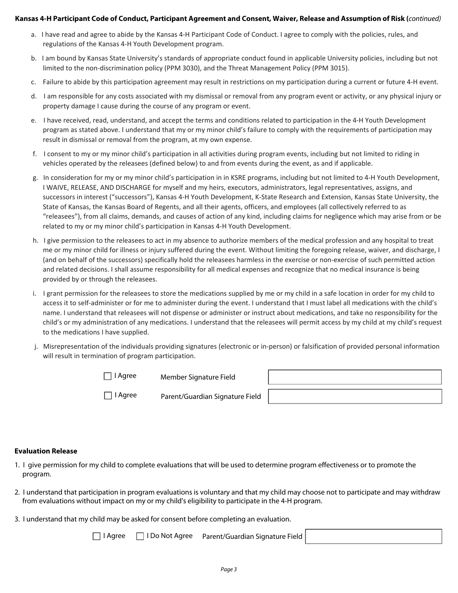## **Kansas 4-H Participant Code of Conduct, Participant Agreement and Consent, Waiver, Release and Assumption of Risk (***continued)*

- a. I have read and agree to abide by the Kansas 4-H Participant Code of Conduct. I agree to comply with the policies, rules, and regulations of the Kansas 4-H Youth Development program.
- b. I am bound by Kansas State University's standards of appropriate conduct found in applicable University policies, including but not limited to the non-discrimination policy (PPM 3030), and the Threat Management Policy (PPM 3015).
- c. Failure to abide by this participation agreement may result in restrictions on my participation during a current or future 4-H event.
- d. I am responsible for any costs associated with my dismissal or removal from any program event or activity, or any physical injury or property damage I cause during the course of any program or event.
- e. I have received, read, understand, and accept the terms and conditions related to participation in the 4-H Youth Development program as stated above. I understand that my or my minor child's failure to comply with the requirements of participation may result in dismissal or removal from the program, at my own expense.
- f. I consent to my or my minor child's participation in all activities during program events, including but not limited to riding in vehicles operated by the releasees (defined below) to and from events during the event, as and if applicable.
- g. In consideration for my or my minor child's participation in in KSRE programs, including but not limited to 4-H Youth Development, I WAIVE, RELEASE, AND DISCHARGE for myself and my heirs, executors, administrators, legal representatives, assigns, and successors in interest ("successors"), Kansas 4-H Youth Development, K-State Research and Extension, Kansas State University, the State of Kansas, the Kansas Board of Regents, and all their agents, officers, and employees (all collectively referred to as "releasees"), from all claims, demands, and causes of action of any kind, including claims for negligence which may arise from or be related to my or my minor child's participation in Kansas 4-H Youth Development.
- h. I give permission to the releasees to act in my absence to authorize members of the medical profession and any hospital to treat me or my minor child for illness or injury suffered during the event. Without limiting the foregoing release, waiver, and discharge, I (and on behalf of the successors) specifically hold the releasees harmless in the exercise or non-exercise of such permitted action and related decisions. I shall assume responsibility for all medical expenses and recognize that no medical insurance is being provided by or through the releasees.
- i. I grant permission for the releasees to store the medications supplied by me or my child in a safe location in order for my child to access it to self-administer or for me to administer during the event. I understand that I must label all medications with the child's name. I understand that releasees will not dispense or administer or instruct about medications, and take no responsibility for the child's or my administration of any medications. I understand that the releasees will permit access by my child at my child's request to the medications I have supplied.
- j. Misrepresentation of the individuals providing signatures (electronic or in-person) or falsification of provided personal information will result in termination of program participation.

Member Signature Field  $\Box$  I Agree

I Agree Parent/Guardian Signature Field

## **Evaluation Release**

- 1. I give permission for my child to complete evaluations that will be used to determine program effectiveness or to promote the program.
- 2. I understand that participation in program evaluations is voluntary and that my child may choose not to participate and may withdraw from evaluations without impact on my or my child's eligibility to participate in the 4-H program.
- 3. I understand that my child may be asked for consent before completing an evaluation.

□ I Agree □ I Do Not Agree Parent/Guardian Signature Field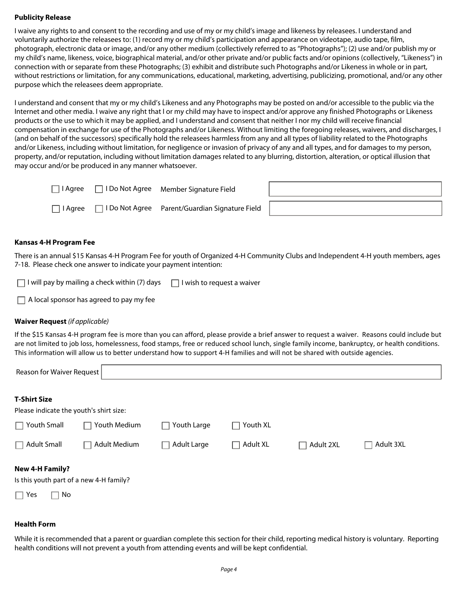## **Publicity Release**

I waive any rights to and consent to the recording and use of my or my child's image and likeness by releasees. I understand and voluntarily authorize the releasees to: (1) record my or my child's participation and appearance on videotape, audio tape, film, photograph, electronic data or image, and/or any other medium (collectively referred to as "Photographs"); (2) use and/or publish my or my child's name, likeness, voice, biographical material, and/or other private and/or public facts and/or opinions (collectively, "Likeness") in connection with or separate from these Photographs; (3) exhibit and distribute such Photographs and/or Likeness in whole or in part, without restrictions or limitation, for any communications, educational, marketing, advertising, publicizing, promotional, and/or any other purpose which the releasees deem appropriate.

I understand and consent that my or my child's Likeness and any Photographs may be posted on and/or accessible to the public via the Internet and other media. I waive any right that I or my child may have to inspect and/or approve any finished Photographs or Likeness products or the use to which it may be applied, and I understand and consent that neither I nor my child will receive financial compensation in exchange for use of the Photographs and/or Likeness. Without limiting the foregoing releases, waivers, and discharges, I (and on behalf of the successors) specifically hold the releasees harmless from any and all types of liability related to the Photographs and/or Likeness, including without limitation, for negligence or invasion of privacy of any and all types, and for damages to my person, property, and/or reputation, including without limitation damages related to any blurring, distortion, alteration, or optical illusion that may occur and/or be produced in any manner whatsoever.

| l Aaree   | □ I Do Not Agree Member Signature Field          |  |
|-----------|--------------------------------------------------|--|
| ∃ I Aaree | □ I Do Not Agree Parent/Guardian Signature Field |  |

### **Kansas 4-H Program Fee**

There is an annual \$15 Kansas 4-H Program Fee for youth of Organized 4-H Community Clubs and Independent 4-H youth members, ages 7-18. Please check one answer to indicate your payment intention:

| $\Box$ I will pay by mailing a check within (7) days $\Box$ I wish to request a waiver |  |
|----------------------------------------------------------------------------------------|--|
|----------------------------------------------------------------------------------------|--|

 $\Box$  A local sponsor has agreed to pay my fee

## **Waiver Request** *(if applicable)*

If the \$15 Kansas 4-H program fee is more than you can afford, please provide a brief answer to request a waiver. Reasons could include but are not limited to job loss, homelessness, food stamps, free or reduced school lunch, single family income, bankruptcy, or health conditions. This information will allow us to better understand how to support 4-H families and will not be shared with outside agencies.

| Reason for Waiver Request                                                             |              |             |                 |                     |           |
|---------------------------------------------------------------------------------------|--------------|-------------|-----------------|---------------------|-----------|
| <b>T-Shirt Size</b><br>Please indicate the youth's shirt size:                        |              |             |                 |                     |           |
| Youth Small                                                                           | Youth Medium | Youth Large | Youth XL        |                     |           |
| $\Box$ Adult Small                                                                    | Adult Medium | Adult Large | $\Box$ Adult XL | Adult 2XL<br>$\Box$ | Adult 3XL |
| <b>New 4-H Family?</b><br>Is this youth part of a new 4-H family?<br>No<br>$\Box$ Yes |              |             |                 |                     |           |

## **Health Form**

While it is recommended that a parent or guardian complete this section for their child, reporting medical history is voluntary. Reporting health conditions will not prevent a youth from attending events and will be kept confidential.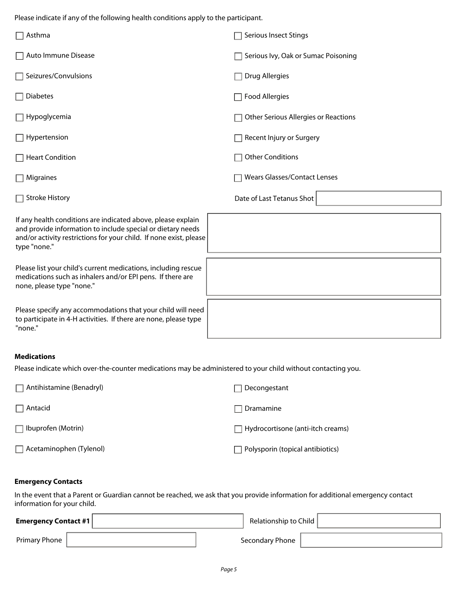Please indicate if any of the following health conditions apply to the participant.

| Asthma                                                                                                                                                                                                            | Serious Insect Stings                |
|-------------------------------------------------------------------------------------------------------------------------------------------------------------------------------------------------------------------|--------------------------------------|
| Auto Immune Disease                                                                                                                                                                                               | Serious Ivy, Oak or Sumac Poisoning  |
| Seizures/Convulsions                                                                                                                                                                                              | <b>Drug Allergies</b>                |
| <b>Diabetes</b>                                                                                                                                                                                                   | <b>Food Allergies</b>                |
| Hypoglycemia                                                                                                                                                                                                      | Other Serious Allergies or Reactions |
| Hypertension                                                                                                                                                                                                      | Recent Injury or Surgery             |
| <b>Heart Condition</b>                                                                                                                                                                                            | <b>Other Conditions</b>              |
| Migraines                                                                                                                                                                                                         | <b>Wears Glasses/Contact Lenses</b>  |
| $\Box$ Stroke History                                                                                                                                                                                             | Date of Last Tetanus Shot            |
| If any health conditions are indicated above, please explain<br>and provide information to include special or dietary needs<br>and/or activity restrictions for your child. If none exist, please<br>type "none." |                                      |
| Please list your child's current medications, including rescue<br>medications such as inhalers and/or EPI pens. If there are<br>none, please type "none."                                                         |                                      |
| Please specify any accommodations that your child will need<br>to participate in 4-H activities. If there are none, please type<br>"none."                                                                        |                                      |
| <b>Medications</b>                                                                                                                                                                                                |                                      |
| Please indicate which over-the-counter medications may be administered to your child without contacting you.                                                                                                      |                                      |

| $\Box$ Antihistamine (Benadryl) | Decongestant                             |
|---------------------------------|------------------------------------------|
| $\Box$ Antacid                  | $\sqsupset$ Dramamine                    |
| Ibuprofen (Motrin) <br>$\Box$   | $\Box$ Hydrocortisone (anti-itch creams) |
| Acetaminophen (Tylenol)         | Polysporin (topical antibiotics)         |

## **Emergency Contacts**

In the event that a Parent or Guardian cannot be reached, we ask that you provide information for additional emergency contact information for your child.

| <b>Emergency Contact #1</b> | Relationship to Child |  |
|-----------------------------|-----------------------|--|
| Primary Phone               | Secondary Phone       |  |